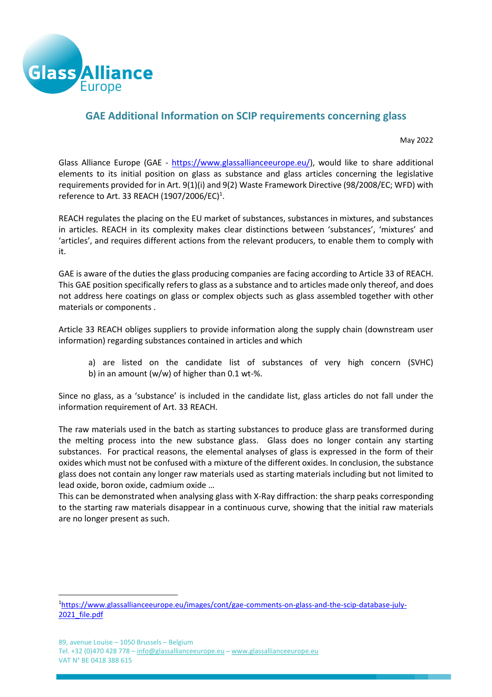

# **GAE Additional Information on SCIP requirements concerning glass**

May 2022

Glass Alliance Europe (GAE - [https://www.glassallianceeurope.eu/\)](https://www.glassallianceeurope.eu/), would like to share additional elements to its initial position on glass as substance and glass articles concerning the legislative requirements provided for in Art. 9(1)(i) and 9(2) Waste Framework Directive (98/2008/EC; WFD) with reference to Art. 33 REACH (1907/2006/EC) $^1$ .

REACH regulates the placing on the EU market of substances, substances in mixtures, and substances in articles. REACH in its complexity makes clear distinctions between 'substances', 'mixtures' and 'articles', and requires different actions from the relevant producers, to enable them to comply with it.

GAE is aware of the duties the glass producing companies are facing according to Article 33 of REACH. This GAE position specifically refers to glass as a substance and to articles made only thereof, and does not address here coatings on glass or complex objects such as glass assembled together with other materials or components .

Article 33 REACH obliges suppliers to provide information along the supply chain (downstream user information) regarding substances contained in articles and which

a) are listed on the candidate list of substances of very high concern (SVHC) b) in an amount (w/w) of higher than 0.1 wt-%.

Since no glass, as a 'substance' is included in the candidate list, glass articles do not fall under the information requirement of Art. 33 REACH.

The raw materials used in the batch as starting substances to produce glass are transformed during the melting process into the new substance glass. Glass does no longer contain any starting substances. For practical reasons, the elemental analyses of glass is expressed in the form of their oxides which must not be confused with a mixture of the different oxides. In conclusion, the substance glass does not contain any longer raw materials used as starting materials including but not limited to lead oxide, boron oxide, cadmium oxide …

This can be demonstrated when analysing glass with X-Ray diffraction: the sharp peaks corresponding to the starting raw materials disappear in a continuous curve, showing that the initial raw materials are no longer present as such.

<sup>1</sup>[https://www.glassallianceeurope.eu/images/cont/gae-comments-on-glass-and-the-scip-database-july-](https://www.glassallianceeurope.eu/images/cont/gae-comments-on-glass-and-the-scip-database-july-2021_file.pdf)2021 file.pdf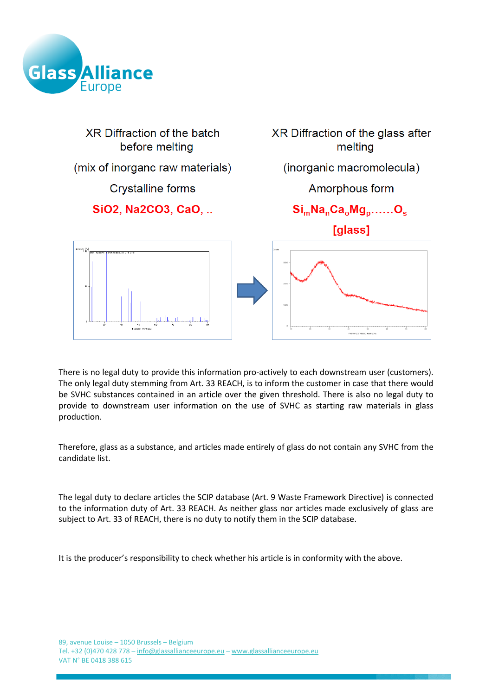



There is no legal duty to provide this information pro-actively to each downstream user (customers). The only legal duty stemming from Art. 33 REACH, is to inform the customer in case that there would be SVHC substances contained in an article over the given threshold. There is also no legal duty to provide to downstream user information on the use of SVHC as starting raw materials in glass production.

Therefore, glass as a substance, and articles made entirely of glass do not contain any SVHC from the candidate list.

The legal duty to declare articles the SCIP database (Art. 9 Waste Framework Directive) is connected to the information duty of Art. 33 REACH. As neither glass nor articles made exclusively of glass are subject to Art. 33 of REACH, there is no duty to notify them in the SCIP database.

It is the producer's responsibility to check whether his article is in conformity with the above.